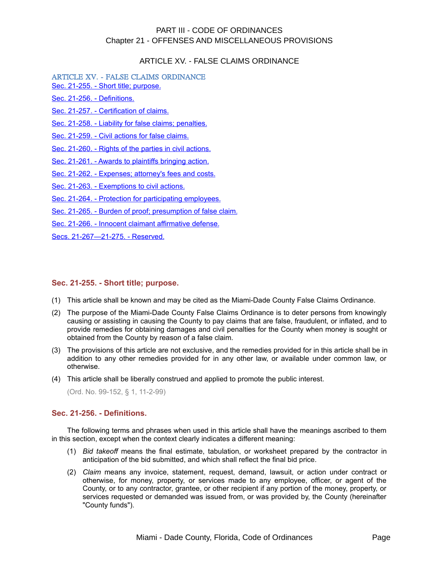## ARTICLE XV. - FALSE CLAIMS ORDINANCE

ARTICLE XV. - FALSE CLAIMS ORDINANCE [Sec. 21-255. - Short title; purpose.](#page-0-0)

[Sec. 21-256. - Definitions.](#page-0-1)

[Sec. 21-257. - Certification of claims.](#page-1-1)

[Sec. 21-258. - Liability for false claims; penalties.](#page-1-0)

[Sec. 21-259. - Civil actions for false claims.](#page-2-0)

[Sec. 21-260. - Rights of the parties in civil actions.](#page-3-1)

[Sec. 21-261. - Awards to plaintiffs bringing action.](#page-3-0)

[Sec. 21-262. - Expenses; attorney's fees and costs.](#page-4-1)

[Sec. 21-263. - Exemptions to civil actions.](#page-4-0)

[Sec. 21-264. - Protection for participating employees.](#page-5-2)

[Sec. 21-265. - Burden of proof; presumption of false claim.](#page-5-1)

[Sec. 21-266. - Innocent claimant affirmative defense.](#page-5-0)

[Secs. 21-267—21-275. - Reserved.](#page-6-0)

#### <span id="page-0-0"></span>**Sec. 21-255. - Short title; purpose.**

- (1) This article shall be known and may be cited as the Miami-Dade County False Claims Ordinance.
- (2) The purpose of the Miami-Dade County False Claims Ordinance is to deter persons from knowingly causing or assisting in causing the County to pay claims that are false, fraudulent, or inflated, and to provide remedies for obtaining damages and civil penalties for the County when money is sought or obtained from the County by reason of a false claim.
- (3) The provisions of this article are not exclusive, and the remedies provided for in this article shall be in addition to any other remedies provided for in any other law, or available under common law, or otherwise.
- (4) This article shall be liberally construed and applied to promote the public interest.

(Ord. No. 99-152, § 1, 11-2-99)

## <span id="page-0-1"></span>**Sec. 21-256. - Definitions.**

The following terms and phrases when used in this article shall have the meanings ascribed to them in this section, except when the context clearly indicates a different meaning:

- (1) *Bid takeoff* means the final estimate, tabulation, or worksheet prepared by the contractor in anticipation of the bid submitted, and which shall reflect the final bid price.
- (2) *Claim* means any invoice, statement, request, demand, lawsuit, or action under contract or otherwise, for money, property, or services made to any employee, officer, or agent of the County, or to any contractor, grantee, or other recipient if any portion of the money, property, or services requested or demanded was issued from, or was provided by, the County (hereinafter "County funds").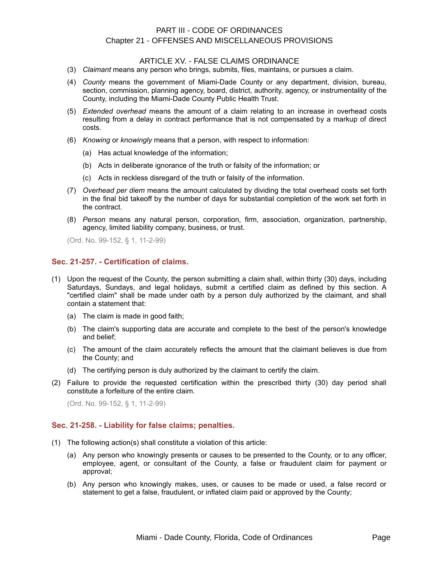#### ARTICLE XV. - FALSE CLAIMS ORDINANCE

- (3) *Claimant* means any person who brings, submits, files, maintains, or pursues a claim.
- (4) *County* means the government of Miami-Dade County or any department, division, bureau, section, commission, planning agency, board, district, authority, agency, or instrumentality of the County, including the Miami-Dade County Public Health Trust.
- (5) *Extended overhead* means the amount of a claim relating to an increase in overhead costs resulting from a delay in contract performance that is not compensated by a markup of direct costs.
- (6) *Knowing* or *knowingly* means that a person, with respect to information:
	- (a) Has actual knowledge of the information;
	- (b) Acts in deliberate ignorance of the truth or falsity of the information; or
	- (c) Acts in reckless disregard of the truth or falsity of the information.
- (7) *Overhead per diem* means the amount calculated by dividing the total overhead costs set forth in the final bid takeoff by the number of days for substantial completion of the work set forth in the contract.
- (8) *Person* means any natural person, corporation, firm, association, organization, partnership, agency, limited liability company, business, or trust.

(Ord. No. 99-152, § 1, 11-2-99)

## <span id="page-1-1"></span>**Sec. 21-257. - Certification of claims.**

- (1) Upon the request of the County, the person submitting a claim shall, within thirty (30) days, including Saturdays, Sundays, and legal holidays, submit a certified claim as defined by this section. A "certified claim" shall be made under oath by a person duly authorized by the claimant, and shall contain a statement that:
	- (a) The claim is made in good faith;
	- (b) The claim's supporting data are accurate and complete to the best of the person's knowledge and belief;
	- (c) The amount of the claim accurately reflects the amount that the claimant believes is due from the County; and
	- (d) The certifying person is duly authorized by the claimant to certify the claim.
- (2) Failure to provide the requested certification within the prescribed thirty (30) day period shall constitute a forfeiture of the entire claim.

(Ord. No. 99-152, § 1, 11-2-99)

#### <span id="page-1-0"></span>**Sec. 21-258. - Liability for false claims; penalties.**

- (1) The following action(s) shall constitute a violation of this article:
	- (a) Any person who knowingly presents or causes to be presented to the County, or to any officer, employee, agent, or consultant of the County, a false or fraudulent claim for payment or approval;
	- (b) Any person who knowingly makes, uses, or causes to be made or used, a false record or statement to get a false, fraudulent, or inflated claim paid or approved by the County;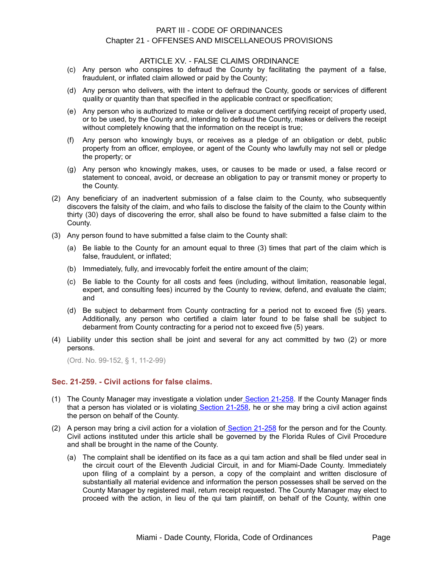#### ARTICLE XV. - FALSE CLAIMS ORDINANCE

- (c) Any person who conspires to defraud the County by facilitating the payment of a false, fraudulent, or inflated claim allowed or paid by the County;
- (d) Any person who delivers, with the intent to defraud the County, goods or services of different quality or quantity than that specified in the applicable contract or specification;
- (e) Any person who is authorized to make or deliver a document certifying receipt of property used, or to be used, by the County and, intending to defraud the County, makes or delivers the receipt without completely knowing that the information on the receipt is true;
- (f) Any person who knowingly buys, or receives as a pledge of an obligation or debt, public property from an officer, employee, or agent of the County who lawfully may not sell or pledge the property; or
- (g) Any person who knowingly makes, uses, or causes to be made or used, a false record or statement to conceal, avoid, or decrease an obligation to pay or transmit money or property to the County.
- (2) Any beneficiary of an inadvertent submission of a false claim to the County, who subsequently discovers the falsity of the claim, and who fails to disclose the falsity of the claim to the County within thirty (30) days of discovering the error, shall also be found to have submitted a false claim to the County.
- (3) Any person found to have submitted a false claim to the County shall:
	- (a) Be liable to the County for an amount equal to three (3) times that part of the claim which is false, fraudulent, or inflated;
	- (b) Immediately, fully, and irrevocably forfeit the entire amount of the claim;
	- (c) Be liable to the County for all costs and fees (including, without limitation, reasonable legal, expert, and consulting fees) incurred by the County to review, defend, and evaluate the claim; and
	- (d) Be subject to debarment from County contracting for a period not to exceed five (5) years. Additionally, any person who certified a claim later found to be false shall be subject to debarment from County contracting for a period not to exceed five (5) years.
- (4) Liability under this section shall be joint and several for any act committed by two (2) or more persons.

(Ord. No. 99-152, § 1, 11-2-99)

## <span id="page-2-0"></span>**Sec. 21-259. - Civil actions for false claims.**

- (1) The County Manager may investigate a violation unde[r Section 21-258.](file:///C:%5CDocuments%20and%20Settings%5CDavidwpb%5CMy%20Documents%5Clevel3%5CPTIIICOOR_CH21OFMIPR_ARTXVFACLOR.docx#PTIIICOOR_CH21OFMIPR_ARTXVFACLOR_S21-258LIFACLPE) If the County Manager finds that a person has violated or is violatin[g Section 21-258,](file:///C:%5CDocuments%20and%20Settings%5CDavidwpb%5CMy%20Documents%5Clevel3%5CPTIIICOOR_CH21OFMIPR_ARTXVFACLOR.docx#PTIIICOOR_CH21OFMIPR_ARTXVFACLOR_S21-258LIFACLPE) he or she may bring a civil action against the person on behalf of the County.
- (2) A person may bring a civil action for a violation of Section  $21-258$  for the person and for the County. Civil actions instituted under this article shall be governed by the Florida Rules of Civil Procedure and shall be brought in the name of the County.
	- (a) The complaint shall be identified on its face as a qui tam action and shall be filed under seal in the circuit court of the Eleventh Judicial Circuit, in and for Miami-Dade County. Immediately upon filing of a complaint by a person, a copy of the complaint and written disclosure of substantially all material evidence and information the person possesses shall be served on the County Manager by registered mail, return receipt requested. The County Manager may elect to proceed with the action, in lieu of the qui tam plaintiff, on behalf of the County, within one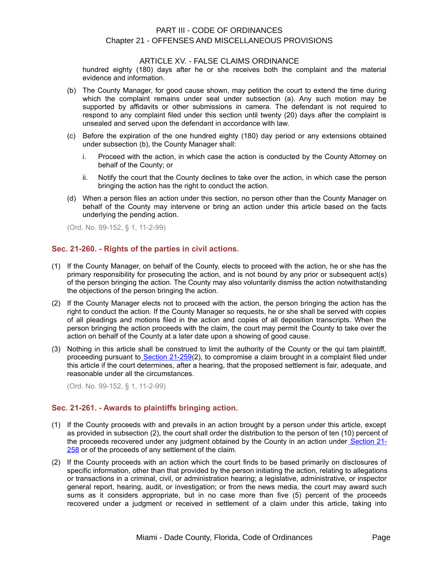#### ARTICLE XV. - FALSE CLAIMS ORDINANCE

hundred eighty (180) days after he or she receives both the complaint and the material evidence and information.

- (b) The County Manager, for good cause shown, may petition the court to extend the time during which the complaint remains under seal under subsection (a). Any such motion may be supported by affidavits or other submissions in camera. The defendant is not required to respond to any complaint filed under this section until twenty (20) days after the complaint is unsealed and served upon the defendant in accordance with law.
- (c) Before the expiration of the one hundred eighty (180) day period or any extensions obtained under subsection (b), the County Manager shall:
	- i. Proceed with the action, in which case the action is conducted by the County Attorney on behalf of the County; or
	- ii. Notify the court that the County declines to take over the action, in which case the person bringing the action has the right to conduct the action.
- (d) When a person files an action under this section, no person other than the County Manager on behalf of the County may intervene or bring an action under this article based on the facts underlying the pending action.

(Ord. No. 99-152, § 1, 11-2-99)

## <span id="page-3-1"></span>**Sec. 21-260. - Rights of the parties in civil actions.**

- (1) If the County Manager, on behalf of the County, elects to proceed with the action, he or she has the primary responsibility for prosecuting the action, and is not bound by any prior or subsequent act(s) of the person bringing the action. The County may also voluntarily dismiss the action notwithstanding the objections of the person bringing the action.
- (2) If the County Manager elects not to proceed with the action, the person bringing the action has the right to conduct the action. If the County Manager so requests, he or she shall be served with copies of all pleadings and motions filed in the action and copies of all deposition transcripts. When the person bringing the action proceeds with the claim, the court may permit the County to take over the action on behalf of the County at a later date upon a showing of good cause.
- (3) Nothing in this article shall be construed to limit the authority of the County or the qui tam plaintiff, proceeding pursuant t[o Section 21-259\(](file:///C:%5CDocuments%20and%20Settings%5CDavidwpb%5CMy%20Documents%5Clevel3%5CPTIIICOOR_CH21OFMIPR_ARTXVFACLOR.docx#PTIIICOOR_CH21OFMIPR_ARTXVFACLOR_S21-259CIACFACL)2), to compromise a claim brought in a complaint filed under this article if the court determines, after a hearing, that the proposed settlement is fair, adequate, and reasonable under all the circumstances.

(Ord. No. 99-152, § 1, 11-2-99)

## <span id="page-3-0"></span>**Sec. 21-261. - Awards to plaintiffs bringing action.**

- (1) If the County proceeds with and prevails in an action brought by a person under this article, except as provided in subsection (2), the court shall order the distribution to the person of ten (10) percent of the proceeds recovered under any judgment obtained by the County in an action under [Section 21-](file:///C:%5CDocuments%20and%20Settings%5CDavidwpb%5CMy%20Documents%5Clevel3%5CPTIIICOOR_CH21OFMIPR_ARTXVFACLOR.docx#PTIIICOOR_CH21OFMIPR_ARTXVFACLOR_S21-258LIFACLPE) [258](file:///C:%5CDocuments%20and%20Settings%5CDavidwpb%5CMy%20Documents%5Clevel3%5CPTIIICOOR_CH21OFMIPR_ARTXVFACLOR.docx#PTIIICOOR_CH21OFMIPR_ARTXVFACLOR_S21-258LIFACLPE) or of the proceeds of any settlement of the claim.
- (2) If the County proceeds with an action which the court finds to be based primarily on disclosures of specific information, other than that provided by the person initiating the action, relating to allegations or transactions in a criminal, civil, or administration hearing; a legislative, administrative, or inspector general report, hearing, audit, or investigation; or from the news media, the court may award such sums as it considers appropriate, but in no case more than five (5) percent of the proceeds recovered under a judgment or received in settlement of a claim under this article, taking into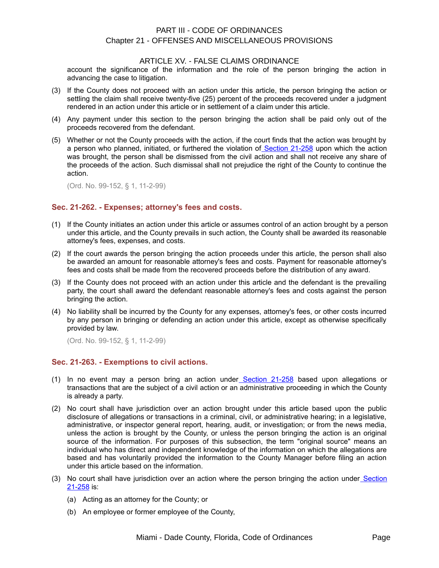#### ARTICLE XV. - FALSE CLAIMS ORDINANCE

account the significance of the information and the role of the person bringing the action in advancing the case to litigation.

- (3) If the County does not proceed with an action under this article, the person bringing the action or settling the claim shall receive twenty-five (25) percent of the proceeds recovered under a judgment rendered in an action under this article or in settlement of a claim under this article.
- (4) Any payment under this section to the person bringing the action shall be paid only out of the proceeds recovered from the defendant.
- (5) Whether or not the County proceeds with the action, if the court finds that the action was brought by a person who planned, initiated, or furthered the violation o[f Section 21-258](file:///C:%5CDocuments%20and%20Settings%5CDavidwpb%5CMy%20Documents%5Clevel3%5CPTIIICOOR_CH21OFMIPR_ARTXVFACLOR.docx#PTIIICOOR_CH21OFMIPR_ARTXVFACLOR_S21-258LIFACLPE) upon which the action was brought, the person shall be dismissed from the civil action and shall not receive any share of the proceeds of the action. Such dismissal shall not prejudice the right of the County to continue the action.

(Ord. No. 99-152, § 1, 11-2-99)

## <span id="page-4-1"></span>**Sec. 21-262. - Expenses; attorney's fees and costs.**

- (1) If the County initiates an action under this article or assumes control of an action brought by a person under this article, and the County prevails in such action, the County shall be awarded its reasonable attorney's fees, expenses, and costs.
- (2) If the court awards the person bringing the action proceeds under this article, the person shall also be awarded an amount for reasonable attorney's fees and costs. Payment for reasonable attorney's fees and costs shall be made from the recovered proceeds before the distribution of any award.
- (3) If the County does not proceed with an action under this article and the defendant is the prevailing party, the court shall award the defendant reasonable attorney's fees and costs against the person bringing the action.
- (4) No liability shall be incurred by the County for any expenses, attorney's fees, or other costs incurred by any person in bringing or defending an action under this article, except as otherwise specifically provided by law.

(Ord. No. 99-152, § 1, 11-2-99)

## <span id="page-4-0"></span>**Sec. 21-263. - Exemptions to civil actions.**

- (1) In no event may a person bring an action unde[r Section 21-258](file:///C:%5CDocuments%20and%20Settings%5CDavidwpb%5CMy%20Documents%5Clevel3%5CPTIIICOOR_CH21OFMIPR_ARTXVFACLOR.docx#PTIIICOOR_CH21OFMIPR_ARTXVFACLOR_S21-258LIFACLPE) based upon allegations or transactions that are the subject of a civil action or an administrative proceeding in which the County is already a party.
- (2) No court shall have jurisdiction over an action brought under this article based upon the public disclosure of allegations or transactions in a criminal, civil, or administrative hearing; in a legislative, administrative, or inspector general report, hearing, audit, or investigation; or from the news media, unless the action is brought by the County, or unless the person bringing the action is an original source of the information. For purposes of this subsection, the term "original source" means an individual who has direct and independent knowledge of the information on which the allegations are based and has voluntarily provided the information to the County Manager before filing an action under this article based on the information.
- (3) No court shall have jurisdiction over an action where the person bringing the action under [Section](file:///C:%5CDocuments%20and%20Settings%5CDavidwpb%5CMy%20Documents%5Clevel3%5CPTIIICOOR_CH21OFMIPR_ARTXVFACLOR.docx#PTIIICOOR_CH21OFMIPR_ARTXVFACLOR_S21-258LIFACLPE) [21-258](file:///C:%5CDocuments%20and%20Settings%5CDavidwpb%5CMy%20Documents%5Clevel3%5CPTIIICOOR_CH21OFMIPR_ARTXVFACLOR.docx#PTIIICOOR_CH21OFMIPR_ARTXVFACLOR_S21-258LIFACLPE) is:
	- (a) Acting as an attorney for the County; or
	- (b) An employee or former employee of the County,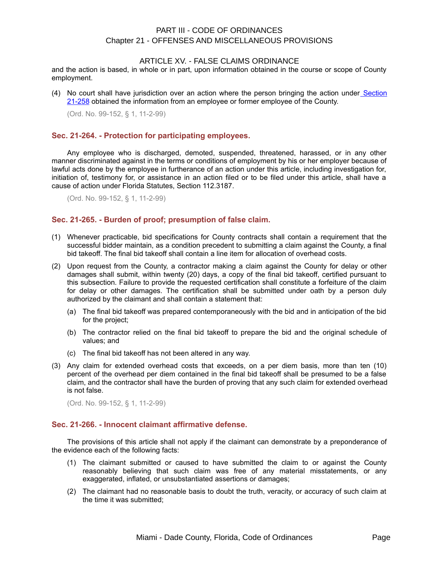#### ARTICLE XV. - FALSE CLAIMS ORDINANCE

and the action is based, in whole or in part, upon information obtained in the course or scope of County employment.

(4) No court shall have jurisdiction over an action where the person bringing the action under [Section](file:///C:%5CDocuments%20and%20Settings%5CDavidwpb%5CMy%20Documents%5Clevel3%5CPTIIICOOR_CH21OFMIPR_ARTXVFACLOR.docx#PTIIICOOR_CH21OFMIPR_ARTXVFACLOR_S21-258LIFACLPE) [21-258](file:///C:%5CDocuments%20and%20Settings%5CDavidwpb%5CMy%20Documents%5Clevel3%5CPTIIICOOR_CH21OFMIPR_ARTXVFACLOR.docx#PTIIICOOR_CH21OFMIPR_ARTXVFACLOR_S21-258LIFACLPE) obtained the information from an employee or former employee of the County.

(Ord. No. 99-152, § 1, 11-2-99)

## <span id="page-5-2"></span>**Sec. 21-264. - Protection for participating employees.**

Any employee who is discharged, demoted, suspended, threatened, harassed, or in any other manner discriminated against in the terms or conditions of employment by his or her employer because of lawful acts done by the employee in furtherance of an action under this article, including investigation for, initiation of, testimony for, or assistance in an action filed or to be filed under this article, shall have a cause of action under Florida Statutes, Section 112.3187.

(Ord. No. 99-152, § 1, 11-2-99)

## <span id="page-5-1"></span>**Sec. 21-265. - Burden of proof; presumption of false claim.**

- (1) Whenever practicable, bid specifications for County contracts shall contain a requirement that the successful bidder maintain, as a condition precedent to submitting a claim against the County, a final bid takeoff. The final bid takeoff shall contain a line item for allocation of overhead costs.
- (2) Upon request from the County, a contractor making a claim against the County for delay or other damages shall submit, within twenty (20) days, a copy of the final bid takeoff, certified pursuant to this subsection. Failure to provide the requested certification shall constitute a forfeiture of the claim for delay or other damages. The certification shall be submitted under oath by a person duly authorized by the claimant and shall contain a statement that:
	- (a) The final bid takeoff was prepared contemporaneously with the bid and in anticipation of the bid for the project;
	- (b) The contractor relied on the final bid takeoff to prepare the bid and the original schedule of values; and
	- (c) The final bid takeoff has not been altered in any way.
- (3) Any claim for extended overhead costs that exceeds, on a per diem basis, more than ten (10) percent of the overhead per diem contained in the final bid takeoff shall be presumed to be a false claim, and the contractor shall have the burden of proving that any such claim for extended overhead is not false.

(Ord. No. 99-152, § 1, 11-2-99)

#### <span id="page-5-0"></span>**Sec. 21-266. - Innocent claimant affirmative defense.**

The provisions of this article shall not apply if the claimant can demonstrate by a preponderance of the evidence each of the following facts:

- (1) The claimant submitted or caused to have submitted the claim to or against the County reasonably believing that such claim was free of any material misstatements, or any exaggerated, inflated, or unsubstantiated assertions or damages;
- (2) The claimant had no reasonable basis to doubt the truth, veracity, or accuracy of such claim at the time it was submitted;